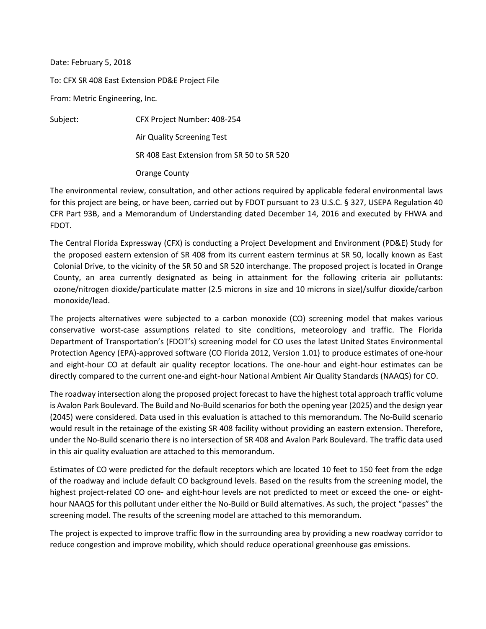Date: February 5, 2018

To: CFX SR 408 East Extension PD&E Project File

From: Metric Engineering, Inc.

Subject: CFX Project Number: 408-254 Air Quality Screening Test SR 408 East Extension from SR 50 to SR 520 Orange County

The environmental review, consultation, and other actions required by applicable federal environmental laws for this project are being, or have been, carried out by FDOT pursuant to 23 U.S.C. § 327, USEPA Regulation 40 CFR Part 93B, and a Memorandum of Understanding dated December 14, 2016 and executed by FHWA and FDOT.

The Central Florida Expressway (CFX) is conducting a Project Development and Environment (PD&E) Study for the proposed eastern extension of SR 408 from its current eastern terminus at SR 50, locally known as East Colonial Drive, to the vicinity of the SR 50 and SR 520 interchange. The proposed project is located in Orange County, an area currently designated as being in attainment for the following criteria air pollutants: ozone/nitrogen dioxide/particulate matter (2.5 microns in size and 10 microns in size)/sulfur dioxide/carbon monoxide/lead.

The projects alternatives were subjected to a carbon monoxide (CO) screening model that makes various conservative worst-case assumptions related to site conditions, meteorology and traffic. The Florida Department of Transportation's (FDOT's) screening model for CO uses the latest United States Environmental Protection Agency (EPA)-approved software (CO Florida 2012, Version 1.01) to produce estimates of one-hour and eight-hour CO at default air quality receptor locations. The one-hour and eight-hour estimates can be directly compared to the current one-and eight-hour National Ambient Air Quality Standards (NAAQS) for CO.

The roadway intersection along the proposed project forecast to have the highest total approach traffic volume is Avalon Park Boulevard. The Build and No-Build scenarios for both the opening year (2025) and the design year (2045) were considered. Data used in this evaluation is attached to this memorandum. The No-Build scenario would result in the retainage of the existing SR 408 facility without providing an eastern extension. Therefore, under the No-Build scenario there is no intersection of SR 408 and Avalon Park Boulevard. The traffic data used in this air quality evaluation are attached to this memorandum.

Estimates of CO were predicted for the default receptors which are located 10 feet to 150 feet from the edge of the roadway and include default CO background levels. Based on the results from the screening model, the highest project-related CO one- and eight-hour levels are not predicted to meet or exceed the one- or eighthour NAAQS for this pollutant under either the No-Build or Build alternatives. As such, the project "passes" the screening model. The results of the screening model are attached to this memorandum.

The project is expected to improve traffic flow in the surrounding area by providing a new roadway corridor to reduce congestion and improve mobility, which should reduce operational greenhouse gas emissions.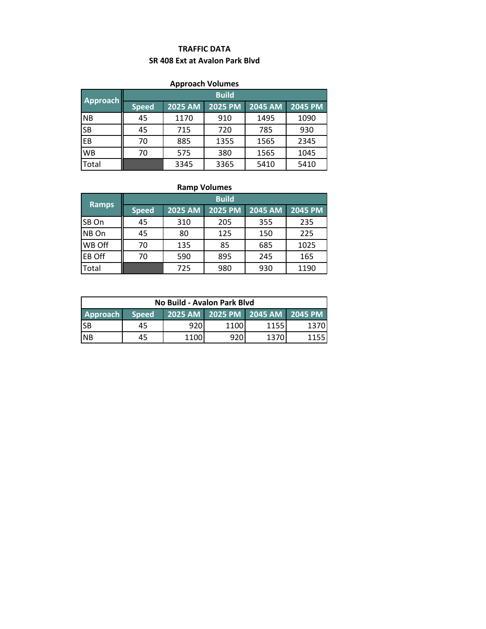# **TRAFFIC DATA SR 408 Ext at Avalon Park Blvd**

### **Approach Volumes**

| Approach  | <b>Build</b> |         |                |         |                |
|-----------|--------------|---------|----------------|---------|----------------|
|           | <b>Speed</b> | 2025 AM | <b>2025 PM</b> | 2045 AM | <b>2045 PM</b> |
| <b>NB</b> | 45           | 1170    | 910            | 1495    | 1090           |
| <b>SB</b> | 45           | 715     | 720            | 785     | 930            |
| EB        | 70           | 885     | 1355           | 1565    | 2345           |
| <b>WB</b> | 70           | 575     | 380            | 1565    | 1045           |
| Total     |              | 3345    | 3365           | 5410    | 5410           |

# **Ramp Volumes**

| Ramps         | <b>Build</b> |                |                |                |                |  |
|---------------|--------------|----------------|----------------|----------------|----------------|--|
|               | <b>Speed</b> | <b>2025 AM</b> | <b>2025 PM</b> | <b>2045 AM</b> | <b>2045 PM</b> |  |
| SB On         | 45           | 310            | 205            | 355            | 235            |  |
| NB On         | 45           | 80             | 125            | 150            | 225            |  |
| WB Off        | 70           | 135            | 85             | 685            | 1025           |  |
| <b>EB Off</b> | 70           | 590            | 895            | 245            | 165            |  |
| Total         |              | 725            | 980            | 930            | 1190           |  |

| No Build - Avalon Park Blyd |              |      |                                 |      |      |
|-----------------------------|--------------|------|---------------------------------|------|------|
| <b>Approach</b>             | <b>Speed</b> |      | 2025 AM 2025 PM 2045 AM 2045 PM |      |      |
| ISB                         | 45           | 920  | 1100                            | 1155 | 1370 |
| <b>INB</b>                  | 45           | 1100 | 920                             | 1370 |      |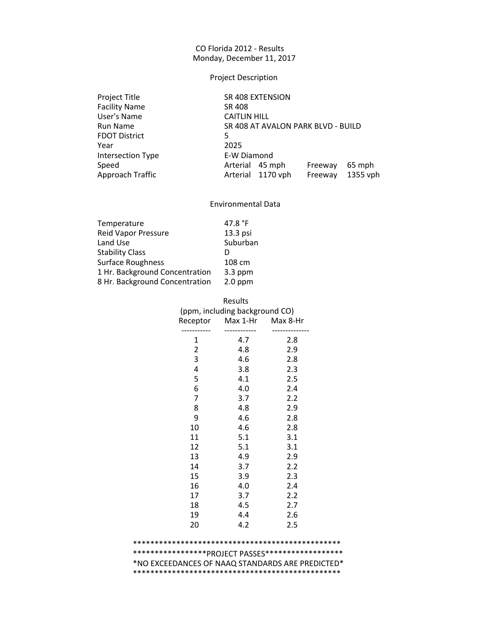# Project Description

| Project Title            | SR 408 EXTENSION                         |
|--------------------------|------------------------------------------|
| <b>Facility Name</b>     | SR 408                                   |
| User's Name              | <b>CAITLIN HILL</b>                      |
| Run Name                 | SR 408 AT AVALON PARK BLVD - BUILD       |
| <b>FDOT District</b>     | 5                                        |
| Year                     | 2025                                     |
| <b>Intersection Type</b> | E-W Diamond                              |
| Speed                    | Arterial 45 mph<br>65 mph<br>Freeway     |
| Approach Traffic         | Arterial 1170 vph<br>1355 vph<br>Freeway |
|                          |                                          |

#### Environmental Data

| Temperature                    | 47.8 $^{\circ}$ F |
|--------------------------------|-------------------|
|                                |                   |
| <b>Reid Vapor Pressure</b>     | 13.3 psi          |
| Land Use                       | Suburban          |
| <b>Stability Class</b>         | D                 |
| <b>Surface Roughness</b>       | 108 cm            |
| 1 Hr. Background Concentration | $3.3$ ppm         |
| 8 Hr. Background Concentration | $2.0$ ppm         |
|                                |                   |

| Results<br>(ppm, including background CO)<br>Max 8-Hr<br>Max 1-Hr<br>Receptor |     |     |  |  |  |
|-------------------------------------------------------------------------------|-----|-----|--|--|--|
|                                                                               |     |     |  |  |  |
| 1                                                                             | 4.7 | 2.8 |  |  |  |
| $\overline{c}$                                                                | 4.8 | 2.9 |  |  |  |
| 3                                                                             | 4.6 | 2.8 |  |  |  |
| 4                                                                             | 3.8 | 2.3 |  |  |  |
| 5                                                                             | 4.1 | 2.5 |  |  |  |
| 6                                                                             | 4.0 | 2.4 |  |  |  |
| 7                                                                             | 3.7 | 2.2 |  |  |  |
| 8                                                                             | 4.8 | 2.9 |  |  |  |
| 9                                                                             | 4.6 | 2.8 |  |  |  |
| 10                                                                            | 4.6 | 2.8 |  |  |  |
| 11                                                                            | 5.1 | 3.1 |  |  |  |
| 12                                                                            | 5.1 | 3.1 |  |  |  |
| 13                                                                            | 4.9 | 2.9 |  |  |  |
| 14                                                                            | 3.7 | 2.2 |  |  |  |
| 15                                                                            | 3.9 | 2.3 |  |  |  |
| 16                                                                            | 4.0 | 2.4 |  |  |  |
| 17                                                                            | 3.7 | 2.2 |  |  |  |
| 18                                                                            | 4.5 | 2.7 |  |  |  |
| 19                                                                            | 4.4 | 2.6 |  |  |  |
| 20                                                                            | 4.2 | 2.5 |  |  |  |
|                                                                               |     |     |  |  |  |

#### \*\*\*\*\*\*\*\*\*\*\*\*\*\*\*\*\*\*\*\*\*\*\*\*\*\*\*\*\*\*\*\*\*\*\*\*\*\*\*\*\*\*\*\*\*\*\*\* \*\*\*\*\*\*\*\*\*\*\*\*\*\*\*\*\*PROJECT PASSES\*\*\*\*\*\*\*\*\*\*\*\*\*\*\*\*\*\* \*NO EXCEEDANCES OF NAAQ STANDARDS ARE PREDICTED\* \*\*\*\*\*\*\*\*\*\*\*\*\*\*\*\*\*\*\*\*\*\*\*\*\*\*\*\*\*\*\*\*\*\*\*\*\*\*\*\*\*\*\*\*\*\*\*\*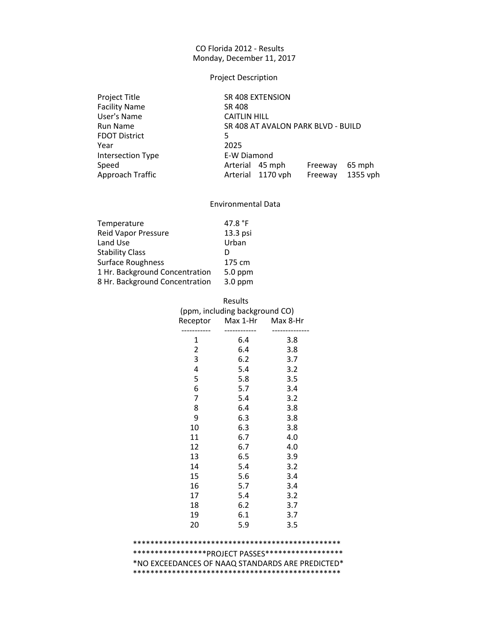# Project Description

| Project Title            | SR 408 EXTENSION                         |
|--------------------------|------------------------------------------|
| <b>Facility Name</b>     | SR 408                                   |
| User's Name              | <b>CAITLIN HILL</b>                      |
| Run Name                 | SR 408 AT AVALON PARK BLVD - BUILD       |
| <b>FDOT District</b>     | 5                                        |
| Year                     | 2025                                     |
| <b>Intersection Type</b> | E-W Diamond                              |
| Speed                    | Arterial 45 mph<br>65 mph<br>Freeway     |
| Approach Traffic         | Arterial 1170 vph<br>1355 vph<br>Freeway |
|                          |                                          |

#### Environmental Data

| Temperature                    | 47.8 $^{\circ}$ F |
|--------------------------------|-------------------|
|                                |                   |
| <b>Reid Vapor Pressure</b>     | 13.3 psi          |
| Land Use                       | Urban             |
| <b>Stability Class</b>         | D                 |
| Surface Roughness              | 175 cm            |
| 1 Hr. Background Concentration | 5.0 ppm           |
| 8 Hr. Background Concentration | $3.0$ ppm         |
|                                |                   |

|                | Results<br>(ppm, including background CO) |          |
|----------------|-------------------------------------------|----------|
| Receptor       | Max 1-Hr                                  | Max 8-Hr |
| 1              | 6.4                                       | 3.8      |
| $\overline{2}$ | 6.4                                       | 3.8      |
| 3              | 6.2                                       | 3.7      |
| 4              | 5.4                                       | 3.2      |
| 5              | 5.8                                       | 3.5      |
| 6              | 5.7                                       | 3.4      |
| $\overline{7}$ | 5.4                                       | 3.2      |
| 8              | 6.4                                       | 3.8      |
| 9              | 6.3                                       | 3.8      |
| 10             | 6.3                                       | 3.8      |
| 11             | 6.7                                       | 4.0      |
| 12             | 6.7                                       | 4.0      |
| 13             | 6.5                                       | 3.9      |
| 14             | 5.4                                       | 3.2      |
| 15             | 5.6                                       | 3.4      |
| 16             | 5.7                                       | 3.4      |
| 17             | 5.4                                       | 3.2      |
| 18             | 6.2                                       | 3.7      |
| 19             | 6.1                                       | 3.7      |
| 20             | 5.9                                       | 3.5      |
|                |                                           |          |

#### \*\*\*\*\*\*\*\*\*\*\*\*\*\*\*\*\*\*\*\*\*\*\*\*\*\*\*\*\*\*\*\*\*\*\*\*\*\*\*\*\*\*\*\*\*\*\*\* \*\*\*\*\*\*\*\*\*\*\*\*\*\*\*\*\*PROJECT PASSES\*\*\*\*\*\*\*\*\*\*\*\*\*\*\*\*\*\* \*NO EXCEEDANCES OF NAAQ STANDARDS ARE PREDICTED\* \*\*\*\*\*\*\*\*\*\*\*\*\*\*\*\*\*\*\*\*\*\*\*\*\*\*\*\*\*\*\*\*\*\*\*\*\*\*\*\*\*\*\*\*\*\*\*\*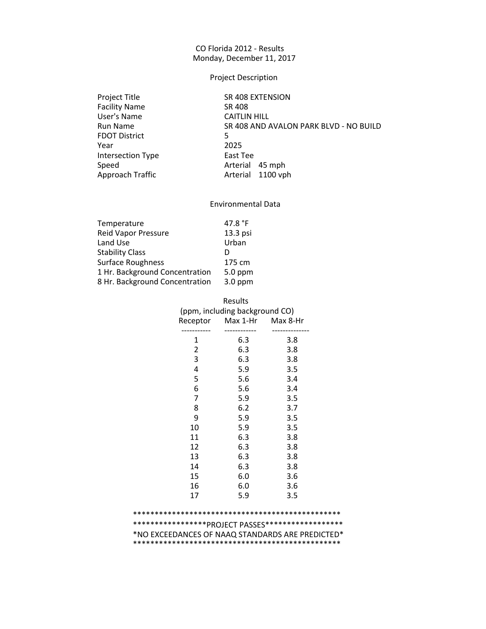#### Project Description

Facility Name SR 408 User's Name CAITLIN HILL FDOT District 5 Year 2025 Intersection Type East Tee

Project Title SR 408 EXTENSION Run Name SR 408 AND AVALON PARK BLVD - NO BUILD Speed Speed Arterial 45 mph<br>Approach Traffic Arterial 1100 vp Arterial 1100 vph

#### Environmental Data

| 47.8 $^{\circ}$ F |
|-------------------|
| 13.3 psi          |
| Urban             |
| D                 |
| 175 cm            |
| 5.0 ppm           |
| $3.0$ ppm         |
|                   |

|                | Results<br>(ppm, including background CO) |     |
|----------------|-------------------------------------------|-----|
|                | Receptor Max 1-Hr Max 8-Hr                |     |
| 1              | 6.3                                       | 3.8 |
| $\overline{2}$ | 6.3                                       | 3.8 |
| 3              | 6.3                                       | 3.8 |
| 4              | 5.9                                       | 3.5 |
| 5              | 5.6                                       | 3.4 |
| 6              | 5.6                                       | 3.4 |
| $\overline{7}$ | 5.9                                       | 3.5 |
| 8              | 6.2                                       | 3.7 |
| 9              | 5.9                                       | 3.5 |
| 10             | 5.9                                       | 3.5 |
| 11             | 6.3                                       | 3.8 |
| 12             | 6.3                                       | 3.8 |
| 13             | 6.3                                       | 3.8 |
| 14             | 6.3                                       | 3.8 |
| 15             | 6.0                                       | 3.6 |
| 16             | 6.0                                       | 3.6 |
| 17             | 5.9                                       | 3.5 |

# \*\*\*\*\*\*\*\*\*\*\*\*\*\*\*\*\*\*PROJECT PASSES\*\*\*\*\*\*\*\*\*\*\*\*\*\*\*\*\*\*\* \*NO EXCEEDANCES OF NAAQ STANDARDS ARE PREDICTED\* \*\*\*\*\*\*\*\*\*\*\*\*\*\*\*\*\*\*\*\*\*\*\*\*\*\*\*\*\*\*\*\*\*\*\*\*\*\*\*\*\*\*\*\*\*\*\*\*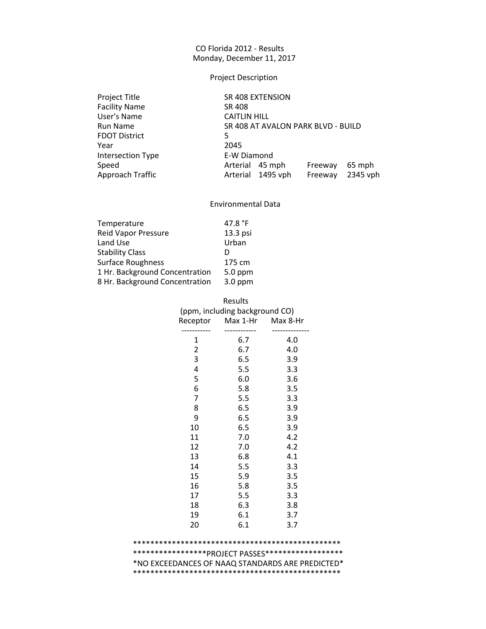# Project Description

| Project Title            | SR 408 EXTENSION                         |
|--------------------------|------------------------------------------|
| <b>Facility Name</b>     | SR 408                                   |
| User's Name              | <b>CAITLIN HILL</b>                      |
| Run Name                 | SR 408 AT AVALON PARK BLVD - BUILD       |
| <b>FDOT District</b>     | 5                                        |
| Year                     | 2045                                     |
| <b>Intersection Type</b> | E-W Diamond                              |
| Speed                    | Arterial 45 mph<br>65 mph<br>Freeway     |
| Approach Traffic         | 2345 vph<br>Arterial 1495 vph<br>Freeway |
|                          |                                          |

#### Environmental Data

| Temperature                    | 47.8 $^{\circ}$ F |
|--------------------------------|-------------------|
|                                |                   |
| <b>Reid Vapor Pressure</b>     | 13.3 psi          |
| Land Use                       | Urban             |
| <b>Stability Class</b>         | D                 |
| Surface Roughness              | 175 cm            |
| 1 Hr. Background Concentration | 5.0 ppm           |
| 8 Hr. Background Concentration | $3.0$ ppm         |
|                                |                   |

| Results<br>(ppm, including background CO)<br>Max 8-Hr<br>Max 1-Hr |     |     |  |  |
|-------------------------------------------------------------------|-----|-----|--|--|
| Receptor                                                          |     |     |  |  |
| 1                                                                 | 6.7 | 4.0 |  |  |
| $\overline{c}$                                                    | 6.7 | 4.0 |  |  |
| 3                                                                 | 6.5 | 3.9 |  |  |
| 4                                                                 | 5.5 | 3.3 |  |  |
| 5                                                                 | 6.0 | 3.6 |  |  |
| 6                                                                 | 5.8 | 3.5 |  |  |
| 7                                                                 | 5.5 | 3.3 |  |  |
| 8                                                                 | 6.5 | 3.9 |  |  |
| 9                                                                 | 6.5 | 3.9 |  |  |
| 10                                                                | 6.5 | 3.9 |  |  |
| 11                                                                | 7.0 | 4.2 |  |  |
| 12                                                                | 7.0 | 4.2 |  |  |
| 13                                                                | 6.8 | 4.1 |  |  |
| 14                                                                | 5.5 | 3.3 |  |  |
| 15                                                                | 5.9 | 3.5 |  |  |
| 16                                                                | 5.8 | 3.5 |  |  |
| 17                                                                | 5.5 | 3.3 |  |  |
| 18                                                                | 6.3 | 3.8 |  |  |
| 19                                                                | 6.1 | 3.7 |  |  |
| 20                                                                | 6.1 | 3.7 |  |  |
|                                                                   |     |     |  |  |

#### \*\*\*\*\*\*\*\*\*\*\*\*\*\*\*\*\*\*\*\*\*\*\*\*\*\*\*\*\*\*\*\*\*\*\*\*\*\*\*\*\*\*\*\*\*\*\*\* \*\*\*\*\*\*\*\*\*\*\*\*\*\*\*\*\*PROJECT PASSES\*\*\*\*\*\*\*\*\*\*\*\*\*\*\*\*\*\* \*NO EXCEEDANCES OF NAAQ STANDARDS ARE PREDICTED\* \*\*\*\*\*\*\*\*\*\*\*\*\*\*\*\*\*\*\*\*\*\*\*\*\*\*\*\*\*\*\*\*\*\*\*\*\*\*\*\*\*\*\*\*\*\*\*\*